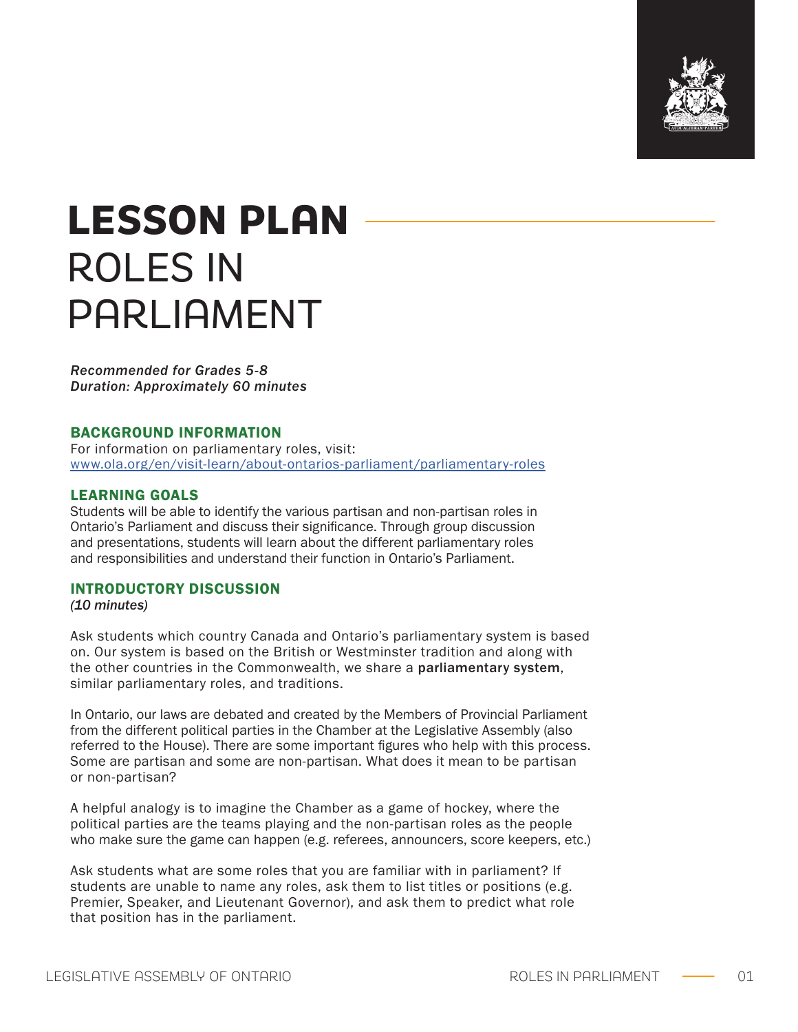

# **LESSON PLAN**  ROLES IN PARLIAMENT

*Recommended for Grades 5-8 Duration: Approximately 60 minutes*

## BACKGROUND INFORMATION

For information on parliamentary roles, visit: [www.ola.org/en/visit-learn/about-ontarios-parliament/parliamentary-roles](http://www.ola.org/en/visit-learn/about-ontarios-parliament/parliamentary-roles)

## LEARNING GOALS

Students will be able to identify the various partisan and non-partisan roles in Ontario's Parliament and discuss their significance. Through group discussion and presentations, students will learn about the different parliamentary roles and responsibilities and understand their function in Ontario's Parliament.

### INTRODUCTORY DISCUSSION

*(10 minutes)*

Ask students which country Canada and Ontario's parliamentary system is based on. Our system is based on the British or Westminster tradition and along with the other countries in the Commonwealth, we share a parliamentary system, similar parliamentary roles, and traditions.

In Ontario, our laws are debated and created by the Members of Provincial Parliament from the different political parties in the Chamber at the Legislative Assembly (also referred to the House). There are some important figures who help with this process. Some are partisan and some are non-partisan. What does it mean to be partisan or non-partisan?

A helpful analogy is to imagine the Chamber as a game of hockey, where the political parties are the teams playing and the non-partisan roles as the people who make sure the game can happen (e.g. referees, announcers, score keepers, etc.)

Ask students what are some roles that you are familiar with in parliament? If students are unable to name any roles, ask them to list titles or positions (e.g. Premier, Speaker, and Lieutenant Governor), and ask them to predict what role that position has in the parliament.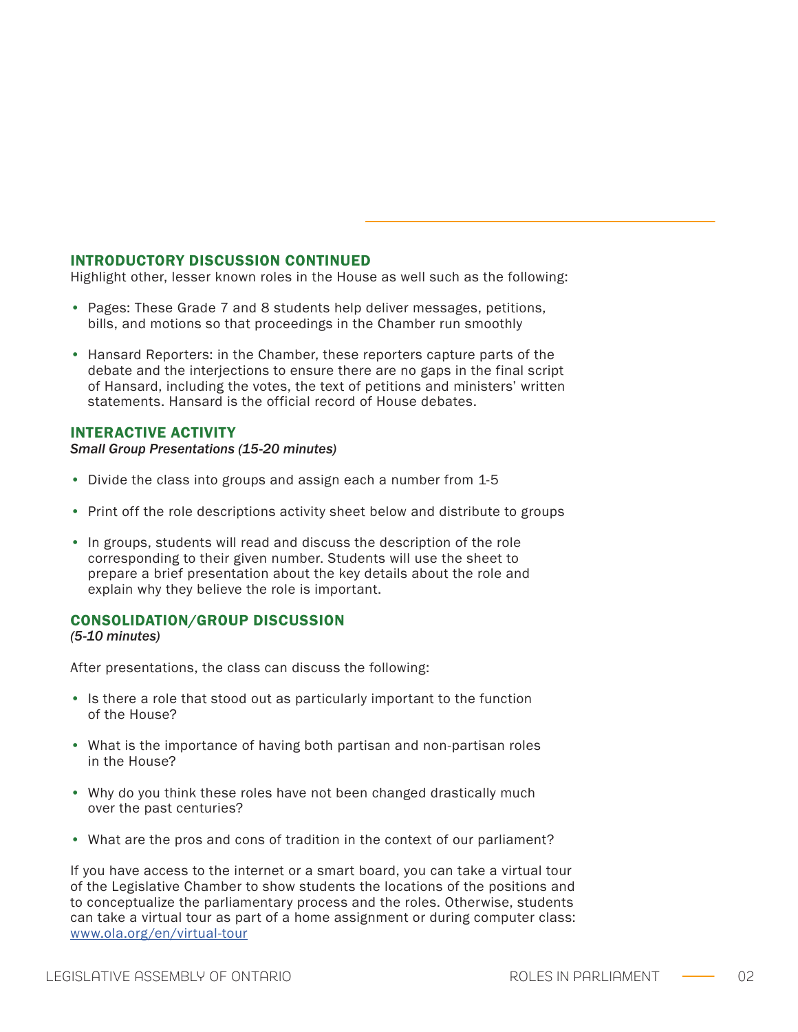### INTRODUCTORY DISCUSSION CONTINUED

Highlight other, lesser known roles in the House as well such as the following:

- Pages: These Grade 7 and 8 students help deliver messages, petitions, bills, and motions so that proceedings in the Chamber run smoothly
- Hansard Reporters: in the Chamber, these reporters capture parts of the debate and the interjections to ensure there are no gaps in the final script of Hansard, including the votes, the text of petitions and ministers' written statements. Hansard is the official record of House debates.

### INTERACTIVE ACTIVITY

#### *Small Group Presentations (15-20 minutes)*

- Divide the class into groups and assign each a number from 1-5
- Print off the role descriptions activity sheet below and distribute to groups
- In groups, students will read and discuss the description of the role corresponding to their given number. Students will use the sheet to prepare a brief presentation about the key details about the role and explain why they believe the role is important.

### CONSOLIDATION/GROUP DISCUSSION

*(5-10 minutes)*

After presentations, the class can discuss the following:

- Is there a role that stood out as particularly important to the function of the House?
- What is the importance of having both partisan and non-partisan roles in the House?
- Why do you think these roles have not been changed drastically much over the past centuries?
- What are the pros and cons of tradition in the context of our parliament?

If you have access to the internet or a smart board, you can take a virtual tour of the Legislative Chamber to show students the locations of the positions and to conceptualize the parliamentary process and the roles. Otherwise, students can take a virtual tour as part of a home assignment or during computer class: [www.ola.org/en/virtual-tour](http://www.ola.org/en/virtual-tour)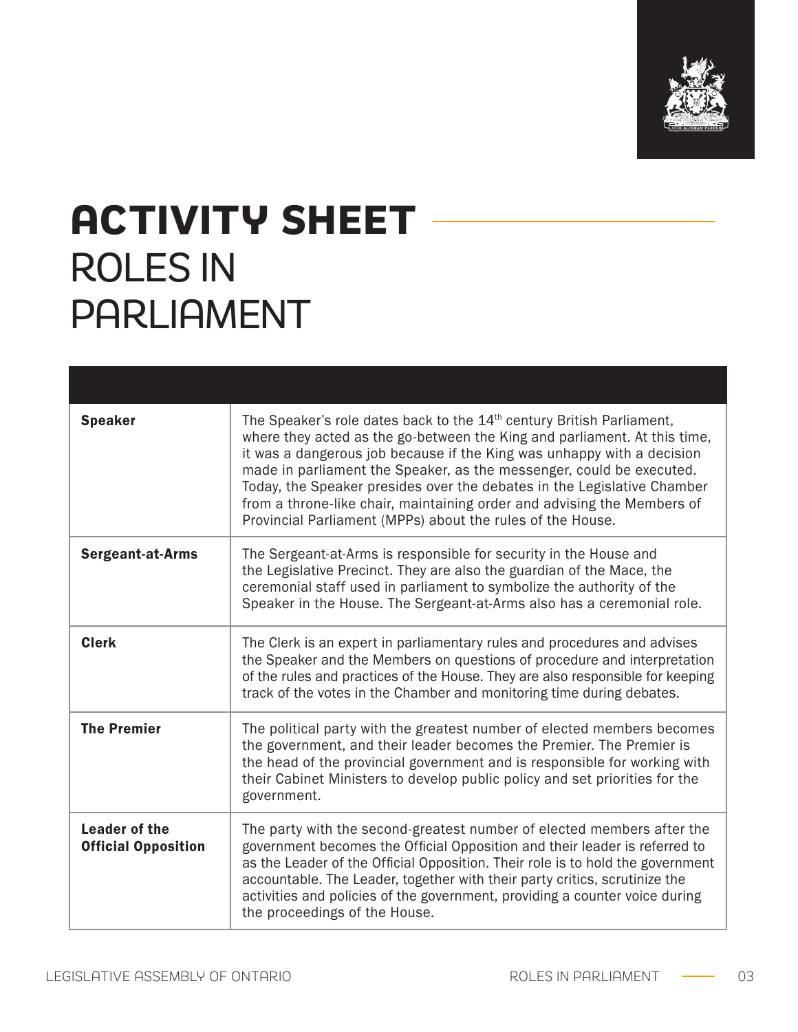

# **ACTIVITY SHEET**  ROLES IN PARLIAMENT

| <b>Speaker</b>                                     | The Speaker's role dates back to the 14 <sup>th</sup> century British Parliament,<br>where they acted as the go-between the King and parliament. At this time,<br>it was a dangerous job because if the King was unhappy with a decision<br>made in parliament the Speaker, as the messenger, could be executed.<br>Today, the Speaker presides over the debates in the Legislative Chamber<br>from a throne-like chair, maintaining order and advising the Members of<br>Provincial Parliament (MPPs) about the rules of the House. |
|----------------------------------------------------|--------------------------------------------------------------------------------------------------------------------------------------------------------------------------------------------------------------------------------------------------------------------------------------------------------------------------------------------------------------------------------------------------------------------------------------------------------------------------------------------------------------------------------------|
| <b>Sergeant-at-Arms</b>                            | The Sergeant-at-Arms is responsible for security in the House and<br>the Legislative Precinct. They are also the guardian of the Mace, the<br>ceremonial staff used in parliament to symbolize the authority of the<br>Speaker in the House. The Sergeant-at-Arms also has a ceremonial role.                                                                                                                                                                                                                                        |
| <b>Clerk</b>                                       | The Clerk is an expert in parliamentary rules and procedures and advises<br>the Speaker and the Members on questions of procedure and interpretation<br>of the rules and practices of the House. They are also responsible for keeping<br>track of the votes in the Chamber and monitoring time during debates.                                                                                                                                                                                                                      |
| <b>The Premier</b>                                 | The political party with the greatest number of elected members becomes<br>the government, and their leader becomes the Premier. The Premier is<br>the head of the provincial government and is responsible for working with<br>their Cabinet Ministers to develop public policy and set priorities for the<br>government.                                                                                                                                                                                                           |
| <b>Leader of the</b><br><b>Official Opposition</b> | The party with the second-greatest number of elected members after the<br>government becomes the Official Opposition and their leader is referred to<br>as the Leader of the Official Opposition. Their role is to hold the government<br>accountable. The Leader, together with their party critics, scrutinize the<br>activities and policies of the government, providing a counter voice during<br>the proceedings of the House.                                                                                                 |